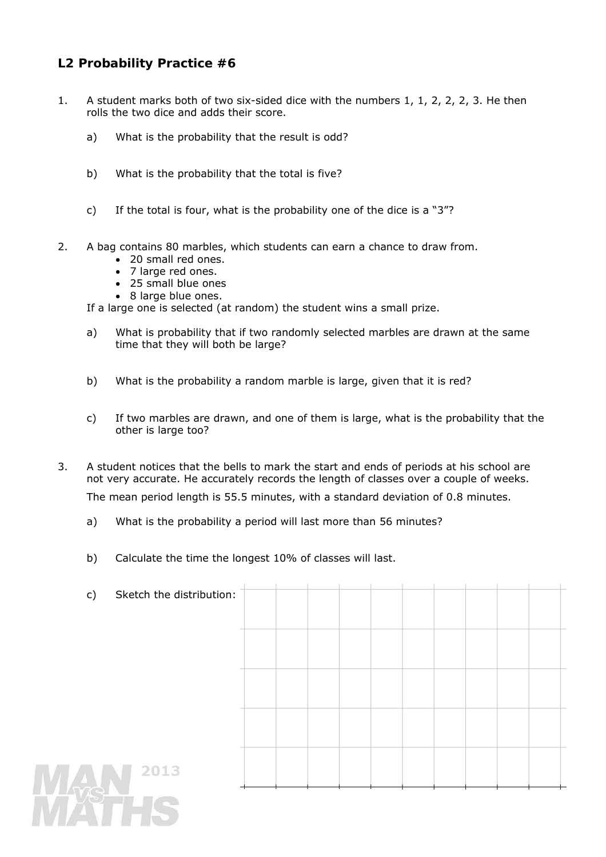## **L2 Probability Practice #6**

- 1. A student marks both of two six-sided dice with the numbers 1, 1, 2, 2, 2, 3. He then rolls the two dice and adds their score.
	- a) What is the probability that the result is odd?
	- b) What is the probability that the total is five?
	- c) If the total is four, what is the probability one of the dice is a "3"?
- 2. A bag contains 80 marbles, which students can earn a chance to draw from.
	- 20 small red ones.
	- 7 large red ones.
	- 25 small blue ones
	- 8 large blue ones.

If a large one is selected (at random) the student wins a small prize.

- a) What is probability that if two randomly selected marbles are drawn at the same time that they will both be large?
- b) What is the probability a random marble is large, given that it is red?
- c) If two marbles are drawn, and one of them is large, what is the probability that the other is large too?
- 3. A student notices that the bells to mark the start and ends of periods at his school are not very accurate. He accurately records the length of classes over a couple of weeks.

The mean period length is 55.5 minutes, with a standard deviation of 0.8 minutes.

- a) What is the probability a period will last more than 56 minutes?
- b) Calculate the time the longest 10% of classes will last.

|     | c) | Sketch the distribution: |  |  |  |  |  |  |
|-----|----|--------------------------|--|--|--|--|--|--|
|     |    |                          |  |  |  |  |  |  |
|     |    |                          |  |  |  |  |  |  |
|     |    |                          |  |  |  |  |  |  |
|     |    |                          |  |  |  |  |  |  |
|     |    |                          |  |  |  |  |  |  |
|     |    |                          |  |  |  |  |  |  |
|     |    |                          |  |  |  |  |  |  |
|     |    |                          |  |  |  |  |  |  |
|     |    |                          |  |  |  |  |  |  |
|     |    |                          |  |  |  |  |  |  |
|     |    |                          |  |  |  |  |  |  |
|     |    |                          |  |  |  |  |  |  |
|     |    | 2013                     |  |  |  |  |  |  |
| MAN |    |                          |  |  |  |  |  |  |
|     |    |                          |  |  |  |  |  |  |
|     |    |                          |  |  |  |  |  |  |
|     |    |                          |  |  |  |  |  |  |